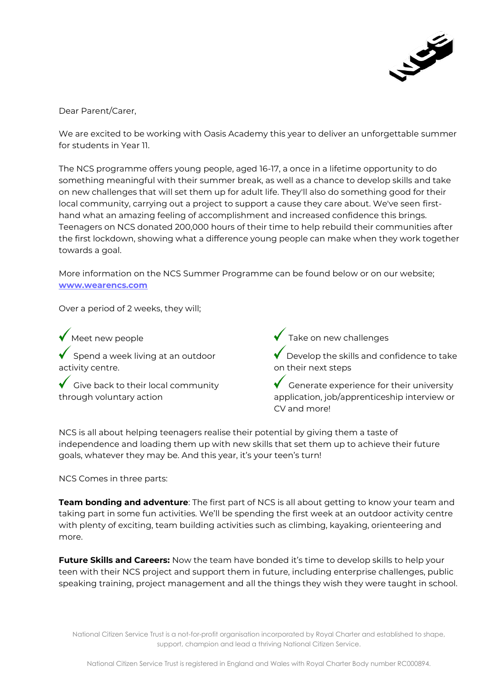

Dear Parent/Carer,

We are excited to be working with Oasis Academy this year to deliver an unforgettable summer for students in Year 11.

The NCS programme offers young people, aged 16-17, a once in a lifetime opportunity to do something meaningful with their summer break, as well as a chance to develop skills and take on new challenges that will set them up for adult life. They'll also do something good for their local community, carrying out a project to support a cause they care about. We've seen firsthand what an amazing feeling of accomplishment and increased confidence this brings. Teenagers on NCS donated 200,000 hours of their time to help rebuild their communities after the first lockdown, showing what a difference young people can make when they work together towards a goal.

More information on the NCS Summer Programme can be found below or on our website; **[www.wearencs.com](http://www.wearencs.com/)**

Over a period of 2 weeks, they will;

Meet new people  $\overline{\phantom{a}}$  Spend a week living at an outdoor activity centre.

Give back to their local community through voluntary action

Take on new challenges

Develop the skills and confidence to take on their next steps

 $\checkmark$  Generate experience for their university application, job/apprenticeship interview or CV and more!

NCS is all about helping teenagers realise their potential by giving them a taste of independence and loading them up with new skills that set them up to achieve their future goals, whatever they may be. And this year, it's your teen's turn!

NCS Comes in three parts:

**Team bonding and adventure**: The first part of NCS is all about getting to know your team and taking part in some fun activities. We'll be spending the first week at an outdoor activity centre with plenty of exciting, team building activities such as climbing, kayaking, orienteering and more.

**Future Skills and Careers:** Now the team have bonded it's time to develop skills to help your teen with their NCS project and support them in future, including enterprise challenges, public speaking training, project management and all the things they wish they were taught in school.

National Citizen Service Trust is a not-for-profit organisation incorporated by Royal Charter and established to shape, support, champion and lead a thriving National Citizen Service.